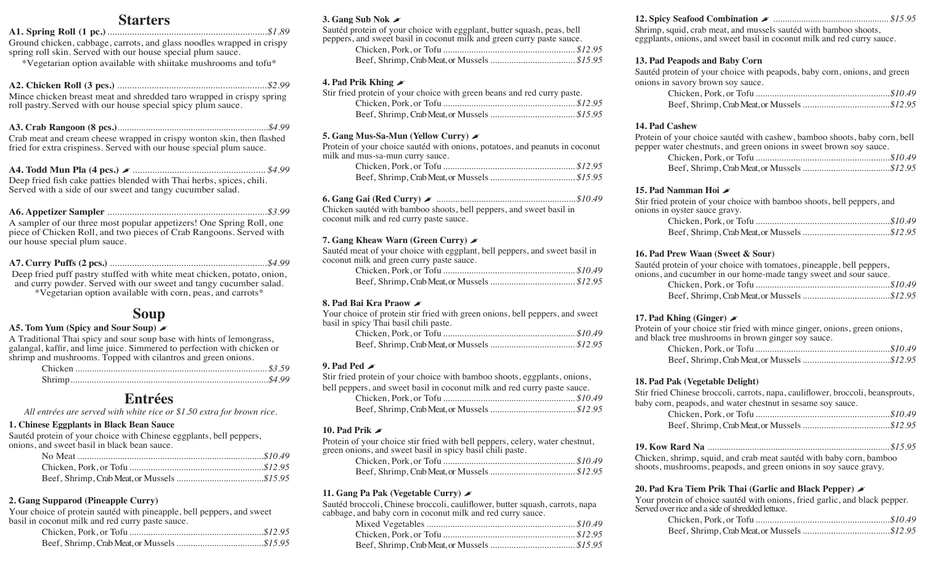## **Starters**

#### **A1. Spring Roll (1 pc.)**.................................................................*\$1.89*

Ground chicken, cabbage, carrots, and glass noodles wrapped in crispy spring roll skin. Served with our house special plum sauce.

\*Vegetarian option available with shiitake mushrooms and tofu\*

#### **A2. Chicken Roll (3 pcs.)** .............................................................*\$2.99* Mince chicken breast meat and shredded taro wrapped in crispy spring

roll pastry.Served with our house special spicy plum sauce.

| Crab meet and cream cheese wrapped in crispy wonton skin, then flashed |  |
|------------------------------------------------------------------------|--|

Crab meat and cream cheese wrapped in crispy wonton skin, then flashed fried for extra crispiness. Served with our house special plum sauce.

**A4. Todd Mun Pla (4 pcs.)** �...................................................... *\$4.99* Deep fried fish cake patties blended with Thai herbs, spices, chili. Served with a side of our sweet and tangy cucumber salad.

### **A6. Appetizer Sampler** .................................................................*\$3.99*

A sampler of our three most popular appetizers! One Spring Roll, one piece of Chicken Roll, and two pieces of Crab Rangoons. Served with our house special plum sauce.

#### **A7. Curry Puffs (2 pcs.)** ................................................................*\$4.99*

Deep fried puff pastry stuffed with white meat chicken, potato, onion, and curry powder. Served with our sweet and tangy cucumber salad.

\*Vegetarian option available with corn, peas, and carrots\*

# **Soup**

#### **A5. Tom Yum (Spicy and Sour Soup)** �

A Traditional Thai spicy and sour soup base with hints of lemongrass, galangal, kaffir, and lime juice. Simmered to perfection with chicken or shrimp and mushrooms. Topped with cilantros and green onions.

# **Entrées**

*All entrées are served with white rice or \$1.50 extra for brown rice.*

#### **1. Chinese Eggplants in Black Bean Sauce**

Sautéd protein of your choice with Chinese eggplants, bell peppers, onions, and sweet basil in black bean sauce.

### **2. Gang Supparod (Pineapple Curry)**

Your choice of protein sautéd with pineapple, bell peppers, and sweet basil in coconut milk and red curry paste sauce.

#### **3. Gang Sub Nok** �

Sautéd protein of your choice with eggplant, butter squash, peas, bell peppers, and sweet basil in coconut milk and green curry paste sauce.

#### **4. Pad Prik Khing** �

| Stir fried protein of your choice with green beans and red curry paste. |  |
|-------------------------------------------------------------------------|--|
|                                                                         |  |
|                                                                         |  |

#### **5. Gang Mus-Sa-Mun (Yellow Curry)** �

Protein of your choice sautéd with onions, potatoes, and peanuts in coconut milk and mus-sa-mun curry sauce.

| 6. Gang Gai (Red Curry) $\blacktriangleright$ |  |
|-----------------------------------------------|--|
|-----------------------------------------------|--|

Chicken sautéd with bamboo shoots, bell peppers, and sweet basil in coconut milk and red curry paste sauce.

#### **7. Gang Kheaw Warn (Green Curry)** �

Sautéd meat of your choice with eggplant, bell peppers, and sweet basil in coconut milk and green curry paste sauce.

#### **8. Pad Bai Kra Praow** �

Your choice of protein stir fried with green onions, bell peppers, and sweet basil in spicy Thai basil chili paste.

#### **9. Pad Ped** �

Stir fried protein of your choice with bamboo shoots, eggplants, onions, bell peopers, and sweet basil in coconut milk and red curry paste sauce.

| bell peppers, and sweet basil in coconut milk and red curry paste sauce. |  |
|--------------------------------------------------------------------------|--|
|                                                                          |  |
|                                                                          |  |

#### **10. Pad Prik** �

Protein of your choice stir fried with bell peppers, celery, water chestnut, green onions, and sweet basil in spicy basil chili paste.

#### **11. Gang Pa Pak (Vegetable Curry)** �

Sautéd broccoli, Chinese broccoli, cauliflower, butter squash, carrots, napa cabbage, and baby corn in coconut milk and red curry sauce.

#### **12. Spicy Seafood Combination** � .................................................. *\$15.95*

Shrimp, squid, crab meat, and mussels sautéd with bamboo shoots, eggplants, onions, and sweet basil in coconut milk and red curry sauce.

#### **13. Pad Peapods and Baby Corn**

Sautéd protein of your choice with peapods, baby corn, onions, and green onions in savory brown soy sauce.

#### **14. Pad Cashew**

Protein of your choice sautéd with cashew, bamboo shoots, baby corn, bell pepper water chestnuts, and green onions in sweet brown soy sauce.

#### **15. Pad Namman Hoi** �

Stir fried protein of your choice with bamboo shoots, bell peppers, and onions in oyster sauce gravy.

#### **16. Pad Prew Waan (Sweet & Sour)**

Sautéd protein of your choice with tomatoes, pineapple, bell peppers, onions, and cucumber in our home-made tangy sweet and sour sauce.

#### **17. Pad Khing (Ginger)** �

Protein of your choice stir fried with mince ginger, onions, green onions, and black tree mushrooms in brown ginger soy sauce. Chicken, Pork, or Tofu .........................................................*\$10.49*

#### **18. Pad Pak (Vegetable Delight)**

Stir fried Chinese broccoli, carrots, napa, cauliflower, broccoli, beansprouts, baby corn, peapods, and water chestnut in sesame soy sauce.

**19. Kow Rard Na** ..............................................................................*\$15.95*

Chicken, shrimp, squid, and crab meat sautéd with baby corn, bamboo shoots, mushrooms, peapods, and green onions in soy sauce gravy.

#### **20. Pad Kra Tiem Prik Thai (Garlic and Black Pepper)** �

Your protein of choice sautéd with onions, fried garlic, and black pepper. Served over rice and a side of shredded lettuce.